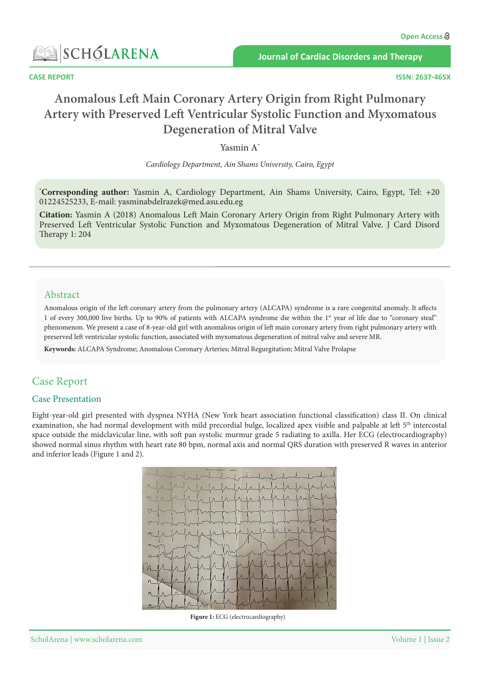

**Journal of Cardiac Disorders and Therapy** 

# **Anomalous Left Main Coronary Artery Origin from Right Pulmonary Artery with Preserved Left Ventricular Systolic Function and Myxomatous Degeneration of Mitral Valve**

Yasmin A\*

*Cardiology Department, Ain Shams University, Cairo, Egypt* 

\*Corresponding author: Yasmin A, Cardiology Department, Ain Shams University, Cairo, Egypt, Tel: +20 01224525233, E-mail: yasminabdelrazek@med.asu.edu.eg

**Citation:** Yasmin A (2018) Anomalous Left Main Coronary Artery Origin from Right Pulmonary Artery with Preserved Left Ventricular Systolic Function and Myxomatous Degeneration of Mitral Valve. J Card Disord Therapy  $1: 204$ 

## Abstract

Anomalous origin of the left coronary artery from the pulmonary artery (ALCAPA) syndrome is a rare congenital anomaly. It affects 1 of every 300,000 live births. Up to 90% of patients with ALCAPA syndrome die within the 1<sup>st</sup> year of life due to "coronary steal" phenomenon. We present a case of 8-year-old girl with anomalous origin of left main coronary artery from right pulmonary artery with preserved left ventricular systolic function, associated with myxomatous degeneration of mitral valve and severe MR.

Keywords: ALCAPA Syndrome; Anomalous Coronary Arteries; Mitral Regurgitation; Mitral Valve Prolapse

# **Case Report**

#### **Case Presentation**

Eight-year-old girl presented with dyspnea NYHA (New York heart association functional classification) class II. On clinical examination, she had normal development with mild precordial bulge, localized apex visible and palpable at left 5<sup>th</sup> intercostal space outside the midclavicular line, with soft pan systolic murmur grade 5 radiating to axilla. Her ECG (electrocardiography) showed normal sinus rhythm with heart rate 80 bpm, normal axis and normal QRS duration with preserved R waves in anterior and inferior leads (Figure 1 and 2).



Figure 1: ECG (electrocardiography)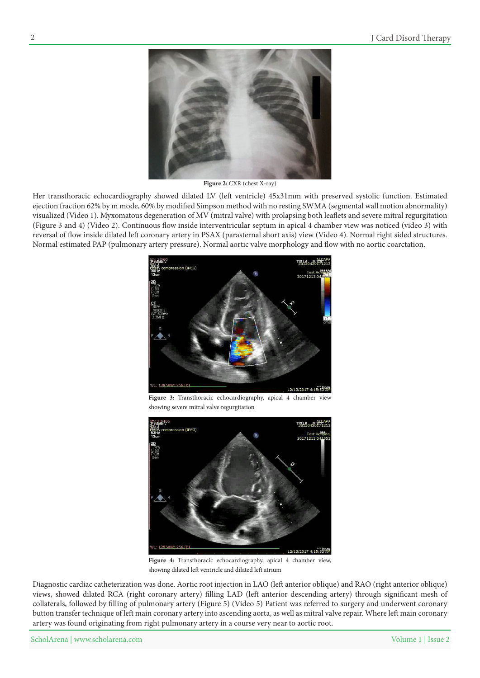

Figure 2: CXR (chest X-ray)

Her transthoracic echocardiography showed dilated LV (left ventricle) 45x31mm with preserved systolic function. Estimated ejection fraction 62% by m mode, 60% by modified Simpson method with no resting SWMA (segmental wall motion abnormality) visualized (Video 1). Myxomatous degeneration of MV (mitral valve) with prolapsing both leaflets and severe mitral regurgitation (Figure 3 and 4[\)](http://article.scholarena.co/3.mp4) (Video 2). Continuous flow inside interventricular septum in apical 4 chamber view was noticed (video 3) with reversal of flow inside dilated left coronary artery in PSAX (parasternal short axis) view (Video 4). Normal right sided structures. Normal estimated PAP (pulmonary artery pressure). Normal aortic valve morphology and flow with no aortic coarctation.



Figure 3: Transthoracic echocardiography, apical 4 chamber view showing severe mitral valve regurgitation



Figure 4: Transthoracic echocardiography, apical 4 chamber view, showing dilated left ventricle and dilated left atrium

Diagnostic cardiac catheterization was done. Aortic root injection in LAO (left anterior oblique) and RAO (right anterior oblique) views, showed dilated RCA (right coronary artery) filling LAD (left anterior descending artery) through significant mesh of collaterals, followed by filling of pulmonary artery (Figure 5[\)](http://article.scholarena.co/5.mp4) [\(](http://article.scholarena.co/5.mp4)Video 5) Patient was referred to surgery and underwent coronary button transfer technique of left main coronary artery into ascending aorta, as well as mitral valve repair. Where left main coronary artery was found originating from right pulmonary artery in a course very near to aortic root.